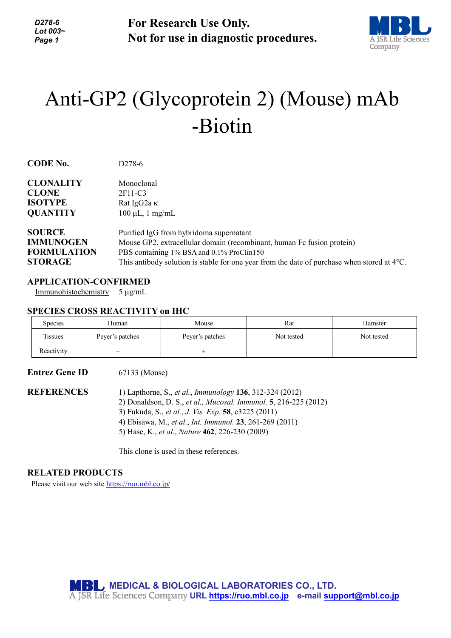*D278-6 Lot 003~ Page 1*

**For Research Use Only. Not for use in diagnostic procedures.**



# Anti-GP2 (Glycoprotein 2) (Mouse) mAb -Biotin

| <b>CLONALITY</b>   | Monoclonal                                                                                            |
|--------------------|-------------------------------------------------------------------------------------------------------|
| <b>CLONE</b>       | 2F11-C3                                                                                               |
| <b>ISOTYPE</b>     | Rat IgG2a $\kappa$                                                                                    |
| <b>QUANTITY</b>    | $100 \mu L$ , 1 mg/mL                                                                                 |
| <b>SOURCE</b>      | Purified IgG from hybridoma supernatant                                                               |
| <b>IMMUNOGEN</b>   | Mouse GP2, extracellular domain (recombinant, human Fc fusion protein)                                |
| <b>FORMULATION</b> | PBS containing 1% BSA and 0.1% ProClin150                                                             |
| <b>STORAGE</b>     | This antibody solution is stable for one year from the date of purchase when stored at $4^{\circ}$ C. |
|                    |                                                                                                       |

### **APPLICATION-CONFIRMED**

**CODE No.** D278-6

Immunohistochemistry 5 µg/mL

#### **SPECIES CROSS REACTIVITY on IHC**

| <b>Species</b> | Human           | Mouse           | Rat        | Hamster    |
|----------------|-----------------|-----------------|------------|------------|
| Tissues        | Peyer's patches | Peyer's patches | Not tested | Not tested |
| Reactivity     | -               |                 |            |            |

**Entrez Gene ID** 67133 (Mouse) **REFERENCES** 1) Lapthorne, S., *et al.*, *Immunology* **136**, 312-324 (2012) 2) Donaldson, D. S., *et al., Mucosal. Immunol.* **5**, 216-225 (2012) 3) Fukuda, S., *et al.*, *J. Vis. Exp.* **58**, e3225 (2011) 4) Ebisawa, M., *et al.*, *Int. Immunol.* **23**, 261-269 (2011) 5) Hase, K., *et al.*, *Nature* **462**, 226-230 (2009)

This clone is used in these references.

#### **RELATED PRODUCTS**

Please visit our web site<https://ruo.mbl.co.jp/>